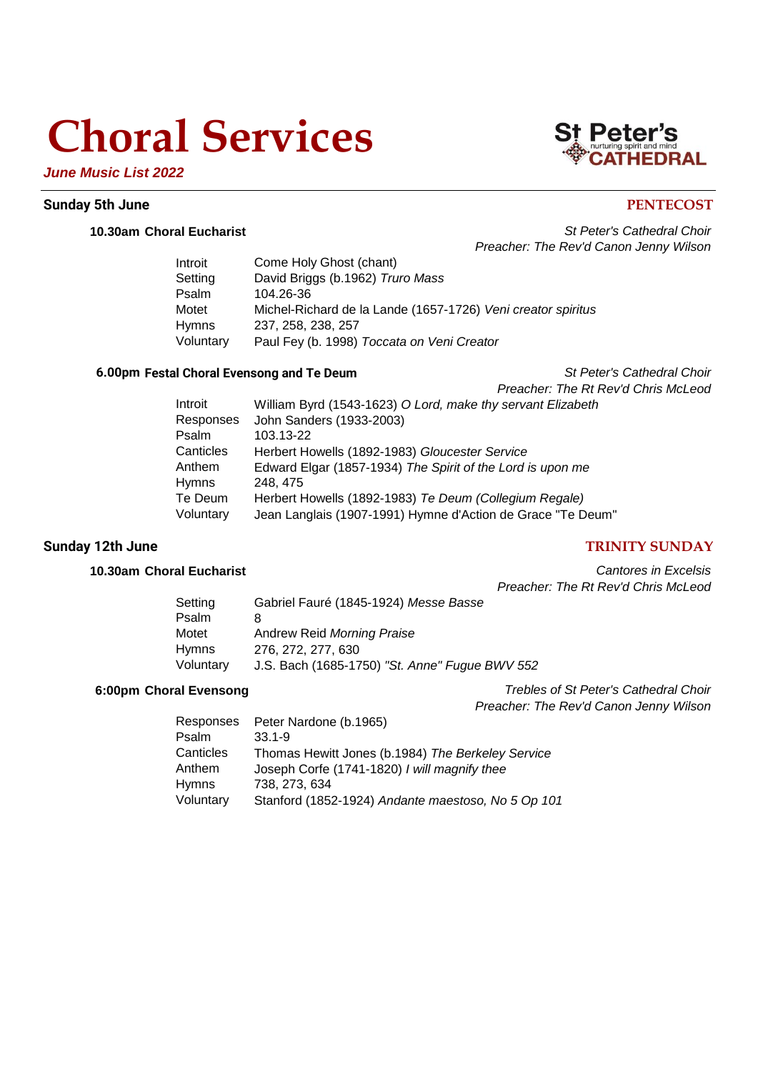# **Choral Services**



## *June Music List 2022*

## **Sunday 5th June PENTECOST**

**10.30am Choral Eucharist** *St Peter's Cathedral Choir Preacher: The Rev'd Canon Jenny Wilson*

| Introit      | Come Holy Ghost (chant)                                      |
|--------------|--------------------------------------------------------------|
| Setting      | David Briggs (b.1962) Truro Mass                             |
| Psalm        | 104.26-36                                                    |
| Motet        | Michel-Richard de la Lande (1657-1726) Veni creator spiritus |
| <b>Hymns</b> | 237, 258, 238, 257                                           |
| Voluntary    | Paul Fey (b. 1998) Toccata on Veni Creator                   |

## **6.00pm Festal Choral Evensong and Te Deum** *St Peter's Cathedral Choir*

*Preacher: The Rt Rev'd Chris McLeod*

| Introit   | William Byrd (1543-1623) O Lord, make thy servant Elizabeth |
|-----------|-------------------------------------------------------------|
| Responses | John Sanders (1933-2003)                                    |
| Psalm     | 103.13-22                                                   |
| Canticles | Herbert Howells (1892-1983) Gloucester Service              |
| Anthem    | Edward Elgar (1857-1934) The Spirit of the Lord is upon me  |
| Hymns     | 248.475                                                     |
| Te Deum   | Herbert Howells (1892-1983) Te Deum (Collegium Regale)      |
| Voluntary | Jean Langlais (1907-1991) Hymne d'Action de Grace "Te Deum" |

## **Sunday 12th June TRINITY SUNDAY**

**10.30am Choral Eucharist** *Cantores in Excelsis Preacher: The Rt Rev'd Chris McLeod*

| Setting   | Gabriel Fauré (1845-1924) Messe Basse          |
|-----------|------------------------------------------------|
| Psalm     | 8                                              |
| Motet     | Andrew Reid Morning Praise                     |
| Hymns     | 276, 272, 277, 630                             |
| Voluntary | J.S. Bach (1685-1750) "St. Anne" Fugue BWV 552 |

**6:00pm Choral Evensong** *Trebles of St Peter's Cathedral Choir Preacher: The Rev'd Canon Jenny Wilson*

| Responses | Peter Nardone (b.1965)                             |
|-----------|----------------------------------------------------|
| Psalm     | $33.1 - 9$                                         |
| Canticles | Thomas Hewitt Jones (b.1984) The Berkeley Service  |
| Anthem    | Joseph Corfe (1741-1820) I will magnify thee       |
| Hymns     | 738, 273, 634                                      |
| Voluntary | Stanford (1852-1924) Andante maestoso, No 5 Op 101 |